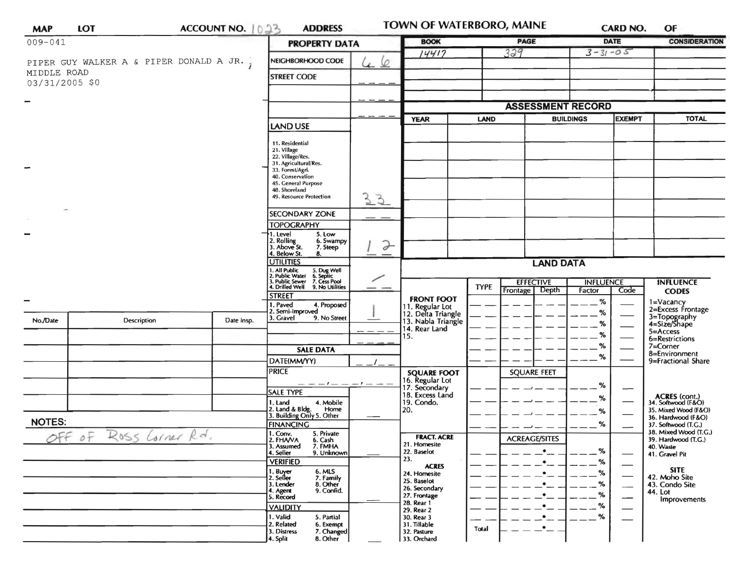| <b>MAP</b>                               | <b>LOT</b>             | ACCOUNT NO. 1023 |  | <b>ADDRESS</b>                                                                                                            |               | TOWN OF WATERBORO, MAINE                   |             |                      |                                   | <b>CARD NO.</b>                                         | OF                                           |
|------------------------------------------|------------------------|------------------|--|---------------------------------------------------------------------------------------------------------------------------|---------------|--------------------------------------------|-------------|----------------------|-----------------------------------|---------------------------------------------------------|----------------------------------------------|
| $009 - 041$                              |                        |                  |  | <b>PROPERTY DATA</b>                                                                                                      |               | <b>BOOK</b>                                |             | <b>PAGE</b>          | <b>DATE</b>                       |                                                         | <b>CONSIDERATION</b>                         |
| PIPER GUY WALKER A & PIPER DONALD A JR., |                        |                  |  | NEIGHBORHOOD CODE                                                                                                         |               | 14417                                      |             | 329<br>$3 - 31 - 05$ |                                   |                                                         |                                              |
| MIDDLE ROAD                              |                        |                  |  |                                                                                                                           | 6             |                                            |             |                      |                                   |                                                         |                                              |
| 03/31/2005 \$0                           |                        |                  |  | <b>STREET CODE</b>                                                                                                        |               |                                            |             |                      |                                   |                                                         |                                              |
|                                          |                        |                  |  |                                                                                                                           |               |                                            |             |                      |                                   |                                                         |                                              |
|                                          |                        |                  |  |                                                                                                                           |               |                                            |             |                      | <b>ASSESSMENT RECORD</b>          |                                                         |                                              |
|                                          |                        |                  |  | <b>LAND USE</b>                                                                                                           |               | <b>YEAR</b>                                | <b>LAND</b> |                      | <b>EXEMPT</b><br><b>BUILDINGS</b> |                                                         | <b>TOTAL</b>                                 |
|                                          |                        |                  |  | 11. Residential<br>21. Village<br>22. Village/Res.                                                                        |               |                                            |             |                      |                                   |                                                         |                                              |
|                                          |                        |                  |  |                                                                                                                           |               |                                            |             |                      |                                   |                                                         |                                              |
|                                          |                        |                  |  | 31. Agricultural/Res.<br>33. Forest/Agri.                                                                                 |               |                                            |             |                      |                                   |                                                         |                                              |
|                                          |                        |                  |  | 40. Conservation<br>45. General Purpose                                                                                   |               |                                            |             |                      |                                   |                                                         |                                              |
|                                          |                        |                  |  | 48. Shoreland<br>49. Resource Protection<br>33                                                                            |               |                                            |             |                      |                                   |                                                         |                                              |
|                                          |                        |                  |  | <b>SECONDARY ZONE</b>                                                                                                     |               |                                            |             |                      |                                   |                                                         |                                              |
|                                          |                        |                  |  | <b>TOPOGRAPHY</b>                                                                                                         |               |                                            |             |                      |                                   |                                                         |                                              |
|                                          |                        |                  |  | 1. Level<br>5. Low<br>2. Rolling<br>3. Above St.<br>6. Swampy                                                             |               |                                            |             |                      |                                   |                                                         |                                              |
|                                          |                        |                  |  | 7. Steep<br>4. Below St.<br>8.                                                                                            | $\rightarrow$ |                                            |             |                      |                                   |                                                         |                                              |
|                                          |                        |                  |  | UTILITIES                                                                                                                 |               | <b>LAND DATA</b>                           |             |                      |                                   |                                                         |                                              |
|                                          |                        |                  |  | 1. All Public 5. Dug Well<br>2. Public Water 6. Septic<br>3. Public Sewer 7. Cess Pool<br>4. Drilled Well 9. No Utilities |               |                                            |             | <b>EFFECTIVE</b>     | <b>INFLUENCE</b>                  |                                                         | <b>INFLUENCE</b>                             |
|                                          |                        |                  |  | <b>STREET</b>                                                                                                             |               | <b>FRONT FOOT</b>                          | <b>TYPE</b> | Depth<br>Frontage    | Factor                            | Code                                                    | <b>CODES</b>                                 |
| −                                        |                        |                  |  | . Paved<br>4. Proposed<br>2. Semi-Improved                                                                                |               | 11. Regular Lot<br>12. Delta Triangle      |             |                      | %<br>%                            |                                                         | 1=Vacancy<br>2=Excess Frontage               |
| No./Date                                 | Description            | Date Insp.       |  | 3. Gravel<br>9. No Street                                                                                                 |               | 13. Nabla Triangle<br>14. Rear Land<br>15. |             |                      | %                                 |                                                         | 3=Topography<br>4=Size/Shape                 |
|                                          |                        |                  |  |                                                                                                                           |               |                                            |             |                      | %                                 |                                                         | 5=Access<br>6=Restrictions                   |
|                                          |                        |                  |  | <b>SALE DATA</b>                                                                                                          |               |                                            |             |                      | $\%$                              |                                                         | $7 =$ Corner                                 |
|                                          |                        |                  |  | DATE(MM/YY)                                                                                                               |               |                                            |             |                      | %                                 |                                                         | 8=Environment<br>9=Fractional Share          |
|                                          |                        |                  |  | <b>PRICE</b>                                                                                                              |               | <b>SQUARE FOOT</b>                         |             | <b>SQUARE FEET</b>   |                                   |                                                         |                                              |
|                                          |                        |                  |  | — — — 1 —<br><b>SALE TYPE</b>                                                                                             |               | 16. Regular Lot<br>17. Secondary           |             |                      | %                                 | $\overline{\phantom{0}}$                                |                                              |
|                                          |                        |                  |  | 4. Mobile<br>1. Land                                                                                                      |               | 18. Excess Land<br>19. Condo.              |             |                      | %                                 |                                                         | ACRES (cont.)<br>34. Softwood (F&O)          |
|                                          |                        |                  |  | 2. Land & Bldg. Home<br>3. Building Only 5. Other<br>Home                                                                 |               | 20.                                        |             |                      | %                                 |                                                         | 35. Mixed Wood (F&O)<br>36. Hardwood (F&O)   |
| <b>NOTES:</b>                            |                        |                  |  | <b>FINANCING</b><br>$1.$ Conv.<br>5. Private                                                                              |               |                                            |             |                      | %                                 |                                                         | 37. Softwood (T.G.)<br>38. Mixed Wood (T.G.) |
|                                          | OFF OF ROSS Lorner Rd. |                  |  | 2. FHAVA<br>3. Assumed<br>6. Cash<br>7. FMHA                                                                              |               | <b>FRACT. ACRE</b><br>21. Homesite         |             | <b>ACREAGE/SITES</b> |                                   |                                                         | 39. Hardwood (T.G.)<br>40. Waste             |
|                                          |                        |                  |  | 4. Seller<br>9. Unknown                                                                                                   |               | 22. Baselot<br>23.                         |             | $\bullet$            | %                                 | $\overbrace{\phantom{aaaaa}}$                           | 41. Gravel Pit                               |
|                                          |                        |                  |  | <b>VERIFIED</b><br>6. MLS                                                                                                 |               | <b>ACRES</b><br>24. Homesite               |             | $\bullet$<br>٠       | $\%$<br>$\%$                      | $\overbrace{\hspace{15em}}$                             | <b>SITE</b>                                  |
|                                          |                        |                  |  | 1. Buyer<br>2. Seller<br>7. Family<br>3. Lender<br>8. Other                                                               |               | 25. Baselot                                |             | $\bullet$            | %                                 |                                                         | 42. Moho Site<br>43. Condo Site              |
|                                          |                        |                  |  | 9. Confid.<br>4. Agent<br>5. Record                                                                                       |               | 26. Secondary<br>27. Frontage              |             | $\bullet$            | %                                 | $\overbrace{\hspace{27mm}}$<br>$\overline{\phantom{0}}$ | 44. Lot                                      |
|                                          |                        |                  |  | <b>VALIDITY</b>                                                                                                           |               | 28. Rear 1<br>29. Rear 2                   |             | $\bullet$ $\_\_$     | $\%$                              |                                                         | Improvements                                 |
|                                          |                        |                  |  | 1. Valid<br>5. Partial                                                                                                    |               | 30. Rear 3                                 |             | $\bullet$            | $\%$                              |                                                         |                                              |
|                                          |                        |                  |  | 2. Related<br>6. Exempt<br>3. Distress<br>7. Changed                                                                      |               | 31. Tillable<br>32. Pasture                | Total       | $\bullet$ .          |                                   |                                                         |                                              |
|                                          |                        |                  |  | 4. Split<br>8. Other                                                                                                      |               | 33. Orchard                                |             |                      |                                   |                                                         |                                              |